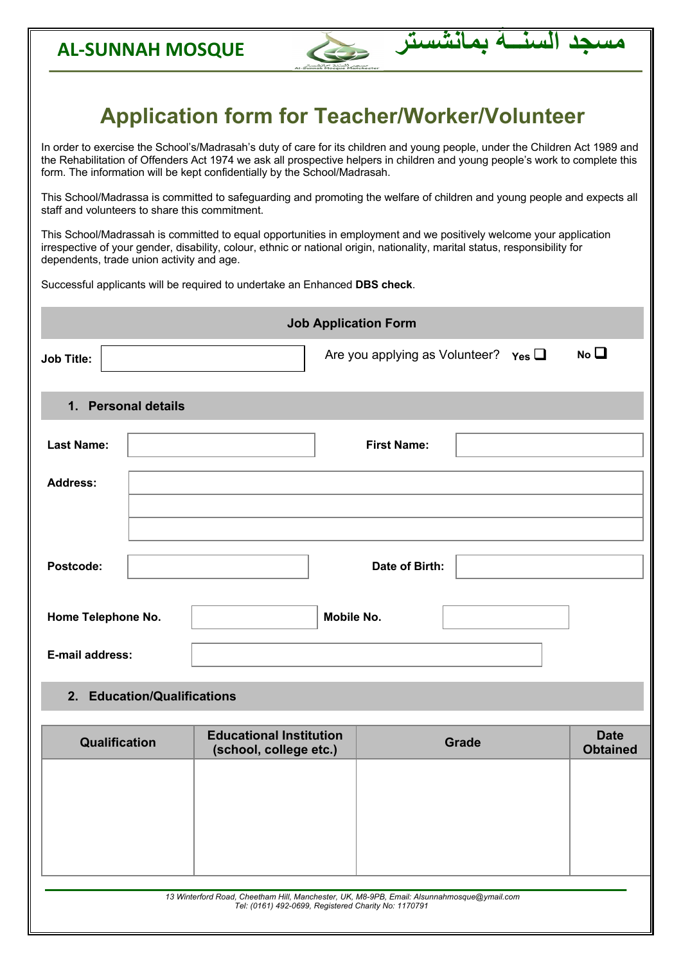## **AL-SUNNAH MOSQUE**



CEE

**رتسشنامب ةــنسلا دجسم**

In order to exercise the School's/Madrasah's duty of care for its children and young people, under the Children Act 1989 and the Rehabilitation of Offenders Act 1974 we ask all prospective helpers in children and young people's work to complete this form. The information will be kept confidentially by the School/Madrasah.

This School/Madrassa is committed to safeguarding and promoting the welfare of children and young people and expects all staff and volunteers to share this commitment.

 This School/Madrassah is committed to equal opportunities in employment and we positively welcome your application irrespective of your gender, disability, colour, ethnic or national origin, nationality, marital status, responsibility for dependents, trade union activity and age.

Successful applicants will be required to undertake an Enhanced **DBS check**.

| <b>Job Application Form</b> |                                                                                                                                                    |                    |                                |  |  |  |  |  |
|-----------------------------|----------------------------------------------------------------------------------------------------------------------------------------------------|--------------------|--------------------------------|--|--|--|--|--|
| <b>Job Title:</b>           | N <sub>o</sub><br>Are you applying as Volunteer? $Y_{\text{es}} \square$                                                                           |                    |                                |  |  |  |  |  |
| 1. Personal details         |                                                                                                                                                    |                    |                                |  |  |  |  |  |
| <b>Last Name:</b>           |                                                                                                                                                    | <b>First Name:</b> |                                |  |  |  |  |  |
| <b>Address:</b>             |                                                                                                                                                    |                    |                                |  |  |  |  |  |
|                             |                                                                                                                                                    |                    |                                |  |  |  |  |  |
| Postcode:                   |                                                                                                                                                    | Date of Birth:     |                                |  |  |  |  |  |
| Home Telephone No.          | Mobile No.                                                                                                                                         |                    |                                |  |  |  |  |  |
| E-mail address:             |                                                                                                                                                    |                    |                                |  |  |  |  |  |
| 2. Education/Qualifications |                                                                                                                                                    |                    |                                |  |  |  |  |  |
| Qualification               | <b>Educational Institution</b><br>(school, college etc.)                                                                                           | <b>Grade</b>       | <b>Date</b><br><b>Obtained</b> |  |  |  |  |  |
|                             |                                                                                                                                                    |                    |                                |  |  |  |  |  |
|                             |                                                                                                                                                    |                    |                                |  |  |  |  |  |
|                             |                                                                                                                                                    |                    |                                |  |  |  |  |  |
|                             | 13 Winterford Road, Cheetham Hill, Manchester, UK, M8-9PB, Email: Alsunnahmosque@ymail.com<br>Tel: (0161) 492-0699, Registered Charity No: 1170791 |                    |                                |  |  |  |  |  |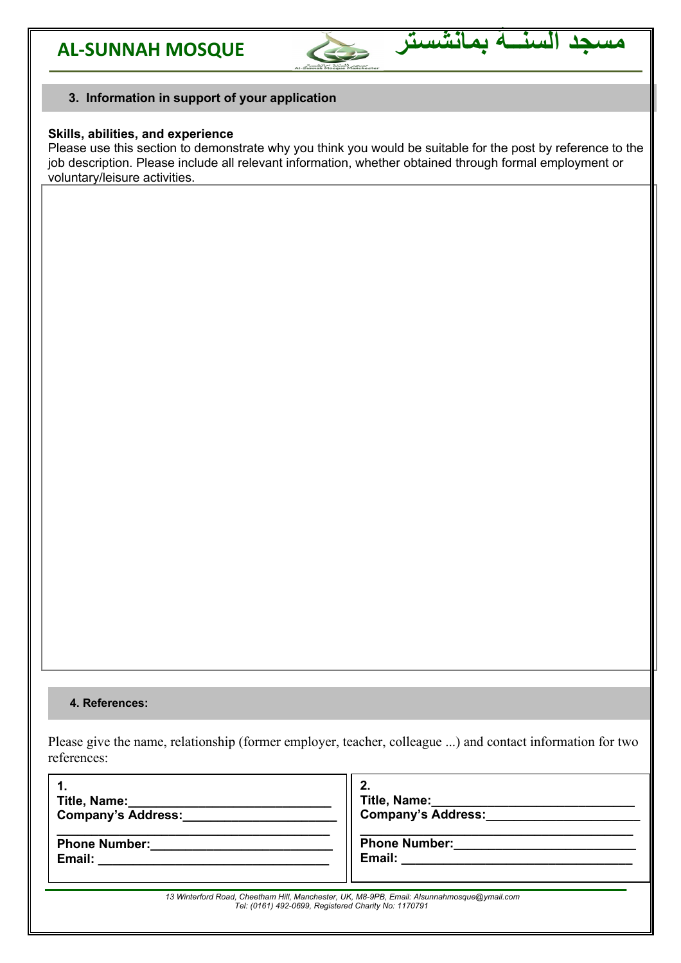





## **3. Information in support of your application**

## **Skills, abilities, and experience**

Please use this section to demonstrate why you think you would be suitable for the post by reference to the job description. Please include all relevant information, whether obtained through formal employment or voluntary/leisure activities.

## **4. References:**

Please give the name, relationship (former employer, teacher, colleague ...) and contact information for two references:

| Title, Name:<br><b>Company's Address:</b> | 2.<br>Title, Name:<br><b>Company's Address:</b> |
|-------------------------------------------|-------------------------------------------------|
| <b>Phone Number:</b>                      | <b>Phone Number:</b>                            |
| Email:                                    | Email:                                          |

*13 Winterford Road, Cheetham Hill, Manchester, UK, M8-9PB, Email: Alsunnahmosque@ymail.com Tel: (0161) 492-0699, Registered Charity No: 1170791*